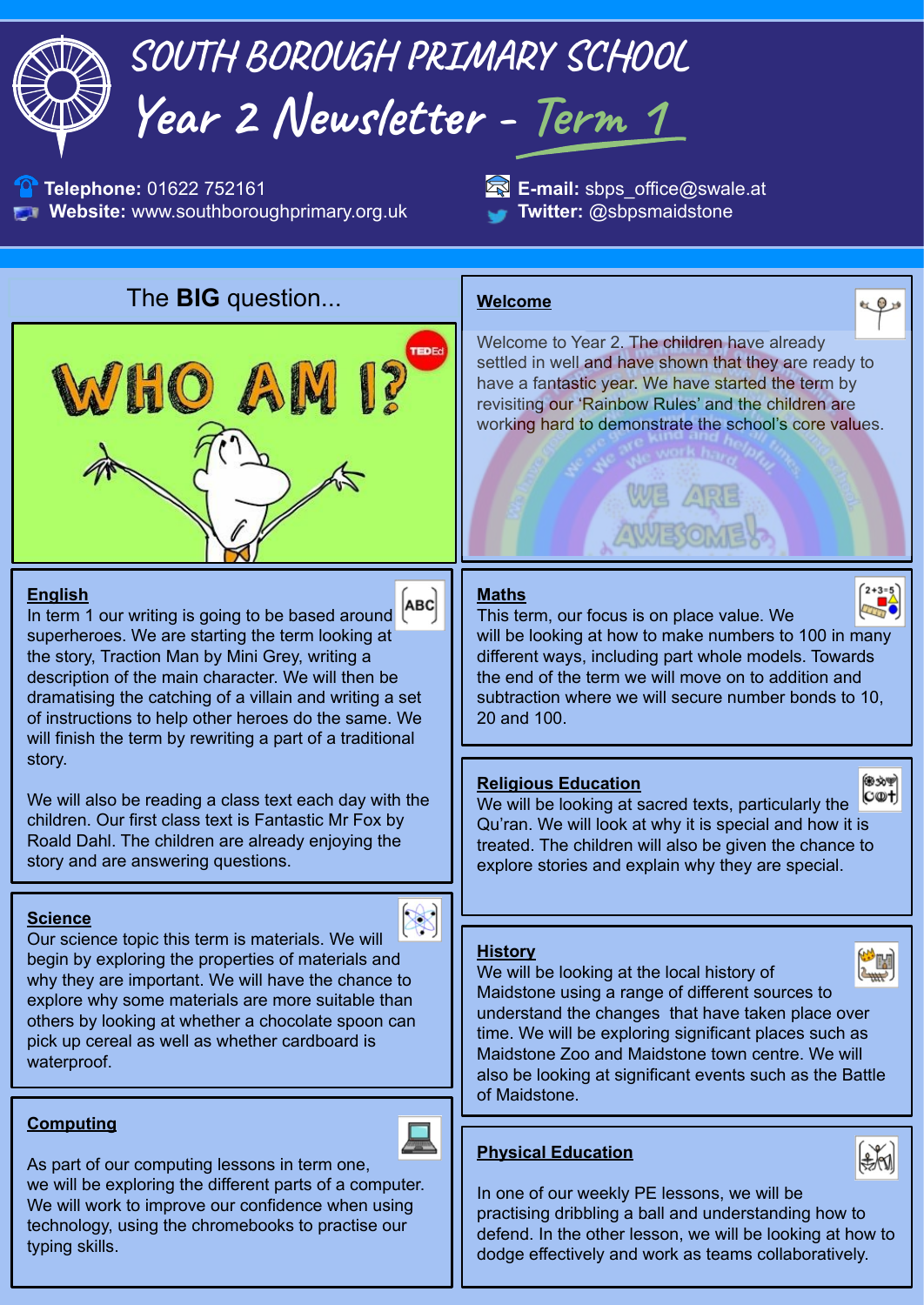